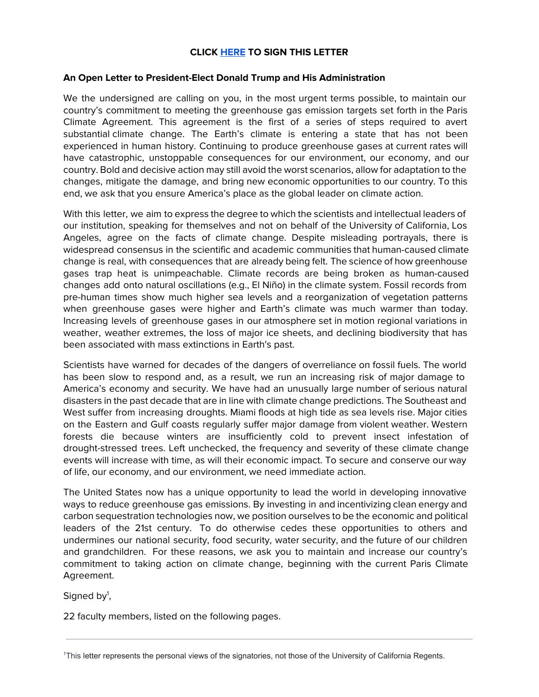# **CLICK [HERE](https://docs.google.com/forms/d/e/1FAIpQLSdflP-OIolERes7Bl03T73BydUCrEaIQc267-BPwhIVzBxTfw/viewform) TO SIGN THIS LETTER**

### **An Open Letter to President-Elect Donald Trump and His Administration**

We the undersigned are calling on you, in the most urgent terms possible, to maintain our country's commitment to meeting the greenhouse gas emission targets set forth in the Paris Climate Agreement. This agreement is the first of a series of steps required to avert substantial climate change. The Earth's climate is entering a state that has not been experienced in human history. Continuing to produce greenhouse gases at current rates will have catastrophic, unstoppable consequences for our environment, our economy, and our country. Bold and decisive action may still avoid the worst scenarios, allow for adaptation to the changes, mitigate the damage, and bring new economic opportunities to our country. To this end, we ask that you ensure America's place as the global leader on climate action.

With this letter, we aim to express the degree to which the scientists and intellectual leaders of our institution, speaking for themselves and not on behalf of the University of California, Los Angeles, agree on the facts of climate change. Despite misleading portrayals, there is widespread consensus in the scientific and academic communities that human-caused climate change is real, with consequences that are already being felt. The science of how greenhouse gases trap heat is unimpeachable. Climate records are being broken as human-caused changes add onto natural oscillations (e.g., El Niño) in the climate system. Fossil records from pre-human times show much higher sea levels and a reorganization of vegetation patterns when greenhouse gases were higher and Earth's climate was much warmer than today. Increasing levels of greenhouse gases in our atmosphere set in motion regional variations in weather, weather extremes, the loss of major ice sheets, and declining biodiversity that has been associated with mass extinctions in Earth's past.

Scientists have warned for decades of the dangers of overreliance on fossil fuels. The world has been slow to respond and, as a result, we run an increasing risk of major damage to America's economy and security. We have had an unusually large number of serious natural disasters in the past decade that are in line with climate change predictions. The Southeast and West suffer from increasing droughts. Miami floods at high tide as sea levels rise. Major cities on the Eastern and Gulf coasts regularly suffer major damage from violent weather. Western forests die because winters are insufficiently cold to prevent insect infestation of drought-stressed trees. Left unchecked, the frequency and severity of these climate change events will increase with time, as will their economic impact. To secure and conserve our way of life, our economy, and our environment, we need immediate action.

The United States now has a unique opportunity to lead the world in developing innovative ways to reduce greenhouse gas emissions. By investing in and incentivizing clean energy and carbon sequestration technologies now, we position ourselves to be the economic and political leaders of the 21st century. To do otherwise cedes these opportunities to others and undermines our national security, food security, water security, and the future of our children and grandchildren. For these reasons, we ask you to maintain and increase our country's commitment to taking action on climate change, beginning with the current Paris Climate Agreement.

Signed by<sup>1</sup>,

22 faculty members, listed on the following pages.

<sup>1</sup>This letter represents the personal views of the signatories, not those of the University of California Regents.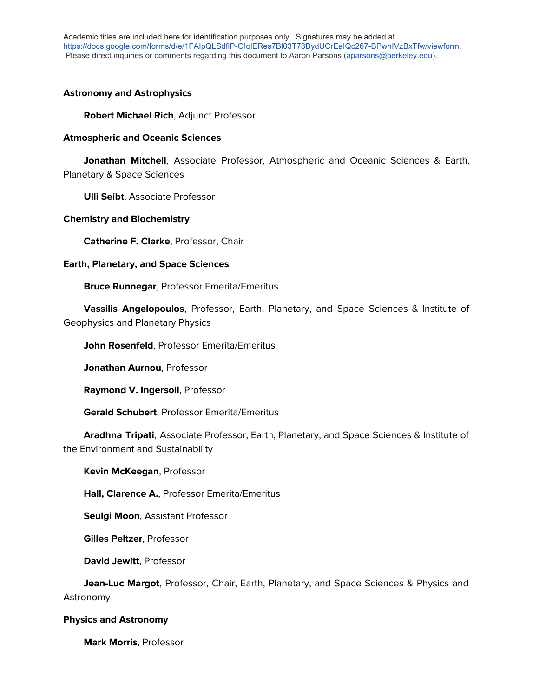## **Astronomy and Astrophysics**

**Robert Michael Rich**, Adjunct Professor

### **Atmospheric and Oceanic Sciences**

 **Jonathan Mitchell**, Associate Professor, Atmospheric and Oceanic Sciences & Earth, Planetary & Space Sciences

**Ulli Seibt**, Associate Professor

### **Chemistry and Biochemistry**

**Catherine F. Clarke**, Professor, Chair

#### **Earth, Planetary, and Space Sciences**

**Bruce Runnegar**, Professor Emerita/Emeritus

 **Vassilis Angelopoulos**, Professor, Earth, Planetary, and Space Sciences & Institute of Geophysics and Planetary Physics

**John Rosenfeld**, Professor Emerita/Emeritus

**Jonathan Aurnou**, Professor

**Raymond V. Ingersoll**, Professor

**Gerald Schubert**, Professor Emerita/Emeritus

 **Aradhna Tripati**, Associate Professor, Earth, Planetary, and Space Sciences & Institute of the Environment and Sustainability

**Kevin McKeegan**, Professor

**Hall, Clarence A.**, Professor Emerita/Emeritus

**Seulgi Moon**, Assistant Professor

**Gilles Peltzer**, Professor

**David Jewitt**, Professor

 **Jean-Luc Margot**, Professor, Chair, Earth, Planetary, and Space Sciences & Physics and Astronomy

# **Physics and Astronomy**

**Mark Morris**, Professor